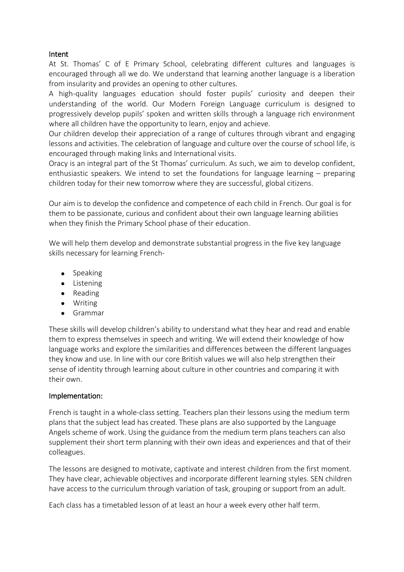#### Intent

At St. Thomas' C of E Primary School, celebrating different cultures and languages is encouraged through all we do. We understand that learning another language is a liberation from insularity and provides an opening to other cultures.

A high-quality languages education should foster pupils' curiosity and deepen their understanding of the world. Our Modern Foreign Language curriculum is designed to progressively develop pupils' spoken and written skills through a language rich environment where all children have the opportunity to learn, enjoy and achieve.

Our children develop their appreciation of a range of cultures through vibrant and engaging lessons and activities. The celebration of language and culture over the course of school life, is encouraged through making links and International visits.

Oracy is an integral part of the St Thomas' curriculum. As such, we aim to develop confident, enthusiastic speakers. We intend to set the foundations for language learning – preparing children today for their new tomorrow where they are successful, global citizens.

Our aim is to develop the confidence and competence of each child in French. Our goal is for them to be passionate, curious and confident about their own language learning abilities when they finish the Primary School phase of their education.

We will help them develop and demonstrate substantial progress in the five key language skills necessary for learning French-

- Speaking
- Listening
- Reading
- **•** Writing
- Grammar

These skills will develop children's ability to understand what they hear and read and enable them to express themselves in speech and writing. We will extend their knowledge of how language works and explore the similarities and differences between the different languages they know and use. In line with our core British values we will also help strengthen their sense of identity through learning about culture in other countries and comparing it with their own.

### Implementation:

French is taught in a whole-class setting. Teachers plan their lessons using the medium term plans that the subject lead has created. These plans are also supported by the Language Angels scheme of work. Using the guidance from the medium term plans teachers can also supplement their short term planning with their own ideas and experiences and that of their colleagues.

The lessons are designed to motivate, captivate and interest children from the first moment. They have clear, achievable objectives and incorporate different learning styles. SEN children have access to the curriculum through variation of task, grouping or support from an adult.

Each class has a timetabled lesson of at least an hour a week every other half term.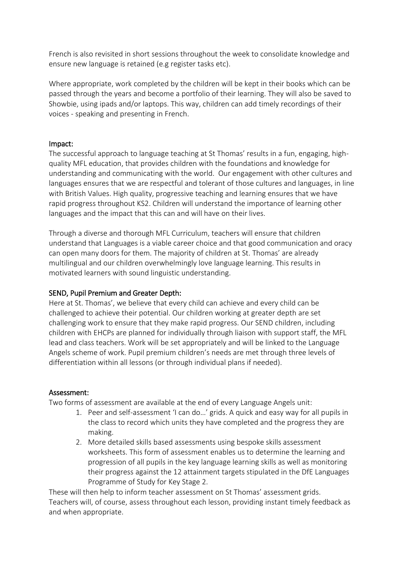French is also revisited in short sessions throughout the week to consolidate knowledge and ensure new language is retained (e.g register tasks etc).

Where appropriate, work completed by the children will be kept in their books which can be passed through the years and become a portfolio of their learning. They will also be saved to Showbie, using ipads and/or laptops. This way, children can add timely recordings of their voices - speaking and presenting in French.

#### Impact:

The successful approach to language teaching at St Thomas' results in a fun, engaging, highquality MFL education, that provides children with the foundations and knowledge for understanding and communicating with the world. Our engagement with other cultures and languages ensures that we are respectful and tolerant of those cultures and languages, in line with British Values. High quality, progressive teaching and learning ensures that we have rapid progress throughout KS2. Children will understand the importance of learning other languages and the impact that this can and will have on their lives.

Through a diverse and thorough MFL Curriculum, teachers will ensure that children understand that Languages is a viable career choice and that good communication and oracy can open many doors for them. The majority of children at St. Thomas' are already multilingual and our children overwhelmingly love language learning. This results in motivated learners with sound linguistic understanding.

### SEND, Pupil Premium and Greater Depth:

Here at St. Thomas', we believe that every child can achieve and every child can be challenged to achieve their potential. Our children working at greater depth are set challenging work to ensure that they make rapid progress. Our SEND children, including children with EHCPs are planned for individually through liaison with support staff, the MFL lead and class teachers. Work will be set appropriately and will be linked to the Language Angels scheme of work. Pupil premium children's needs are met through three levels of differentiation within all lessons (or through individual plans if needed).

### Assessment:

Two forms of assessment are available at the end of every Language Angels unit:

- 1. Peer and self-assessment 'I can do…' grids. A quick and easy way for all pupils in the class to record which units they have completed and the progress they are making.
- 2. More detailed skills based assessments using bespoke skills assessment worksheets. This form of assessment enables us to determine the learning and progression of all pupils in the key language learning skills as well as monitoring their progress against the 12 attainment targets stipulated in the DfE Languages Programme of Study for Key Stage 2.

These will then help to inform teacher assessment on St Thomas' assessment grids. Teachers will, of course, assess throughout each lesson, providing instant timely feedback as and when appropriate.